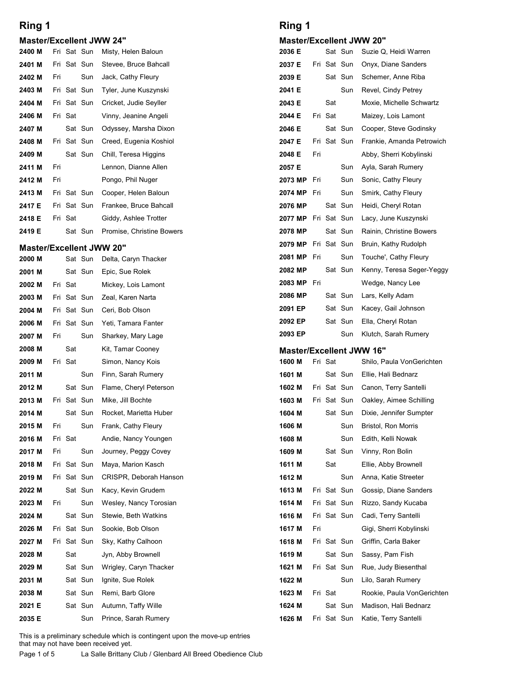### Master/Excellent JWW 24"

| Ring 1                          |         |     |             |                                                 | Ring 1                     |     |         |             |  |
|---------------------------------|---------|-----|-------------|-------------------------------------------------|----------------------------|-----|---------|-------------|--|
| <b>Master/Excellent JWW 24"</b> |         |     |             |                                                 | <b>Master/Excellent JW</b> |     |         |             |  |
| 2400 M                          |         |     | Fri Sat Sun | Misty, Helen Baloun                             | 2036 E                     |     |         | Sat Sun     |  |
| 2401 M                          |         |     | Fri Sat Sun | Stevee, Bruce Bahcall                           | 2037 E                     |     |         | Fri Sat Sun |  |
| 2402 M                          | Fri     |     | Sun         | Jack, Cathy Fleury                              | 2039 E                     |     |         | Sat Sun     |  |
| 2403 M                          |         |     | Fri Sat Sun | Tyler, June Kuszynski                           | 2041 E                     |     |         | Sun         |  |
| 2404 M                          |         |     | Fri Sat Sun | Cricket, Judie Seyller                          | 2043 E                     |     | Sat     |             |  |
| 2406 M<br>2407 M                | Fri Sat |     | Sat Sun     | Vinny, Jeanine Angeli                           | 2044 E<br>2046 E           |     | Fri Sat | Sat Sun     |  |
| 2408 M                          |         |     | Fri Sat Sun | Odyssey, Marsha Dixon<br>Creed, Eugenia Koshiol | 2047 E                     |     |         | Fri Sat Sun |  |
| 2409 M                          |         |     | Sat Sun     | Chill, Teresa Higgins                           | 2048 E                     | Fri |         |             |  |
| 2411 M                          | Fri     |     |             | Lennon, Dianne Allen                            | 2057 E                     |     |         | Sun         |  |
| 2412 M                          | Fri     |     |             | Pongo, Phil Nuger                               | 2073 MP                    | Fri |         | Sun         |  |
| 2413 M                          |         |     | Fri Sat Sun | Cooper, Helen Baloun                            | 2074 MP                    | Fri |         | Sun         |  |
| 2417 E                          |         |     | Fri Sat Sun | Frankee, Bruce Bahcall                          | 2076 MP                    |     |         | Sat Sun     |  |
| 2418 E                          | Fri Sat |     |             | Giddy, Ashlee Trotter                           | 2077 MP Fri Sat Sun        |     |         |             |  |
| 2419 E                          |         |     | Sat Sun     | Promise, Christine Bowers                       | 2078 MP                    |     |         | Sat Sun     |  |
| <b>Master/Excellent JWW 20"</b> |         |     |             |                                                 | 2079 MP Fri Sat Sun        |     |         |             |  |
| 2000 M                          |         |     | Sat Sun     | Delta, Caryn Thacker                            | 2081 MP Fri                |     |         | Sun         |  |
| 2001 M                          |         |     | Sat Sun     | Epic, Sue Rolek                                 | 2082 MP                    |     |         | Sat Sun     |  |
| 2002 M                          | Fri Sat |     |             | Mickey, Lois Lamont                             | 2083 MP Fri                |     |         |             |  |
| 2003 M                          |         |     | Fri Sat Sun | Zeal, Karen Narta                               | 2086 MP                    |     |         | Sat Sun     |  |
| 2004 M                          |         |     | Fri Sat Sun | Ceri, Bob Olson                                 | 2091 EP                    |     |         | Sat Sun     |  |
| 2006 M                          |         |     | Fri Sat Sun | Yeti, Tamara Fanter                             | 2092 EP                    |     |         | Sat Sun     |  |
| 2007 M                          | Fri     |     | Sun         | Sharkey, Mary Lage                              | 2093 EP                    |     |         | Sun         |  |
| 2008 M                          |         | Sat |             | Kit, Tamar Cooney                               | <b>Master/Excellent JW</b> |     |         |             |  |

#### Master/Excellent JWW 20"

| 2408 M                          |     | Fri Sat Sun |             | Creed, Eugenia Koshiol                                                                                                                                                            | 2047 E      |     |         | Fri Sat Sun | Frankie, Amanda                 |
|---------------------------------|-----|-------------|-------------|-----------------------------------------------------------------------------------------------------------------------------------------------------------------------------------|-------------|-----|---------|-------------|---------------------------------|
| 2409 M                          |     |             | Sat Sun     | Chill, Teresa Higgins                                                                                                                                                             | 2048 E      | Fri |         |             | Abby, Sherri Koby               |
| 2411 M                          | Fri |             |             | Lennon, Dianne Allen                                                                                                                                                              | 2057 E      |     |         | Sun         | Ayla, Sarah Rum                 |
| 2412 M                          | Fri |             |             | Pongo, Phil Nuger                                                                                                                                                                 | 2073 MP     | Fri |         | Sun         | Sonic, Cathy Fleu               |
| 2413 M                          |     |             | Fri Sat Sun | Cooper, Helen Baloun                                                                                                                                                              | 2074 MP     | Fri |         | Sun         | Smirk, Cathy Flet               |
| 2417 E                          |     | Fri Sat Sun |             | Frankee, Bruce Bahcall                                                                                                                                                            | 2076 MP     |     |         | Sat Sun     | Heidi, Cheryl Rot               |
| 2418 E                          |     | Fri Sat     |             | Giddy, Ashlee Trotter                                                                                                                                                             | 2077 MP     |     |         | Fri Sat Sun | Lacy, June Kuszy                |
| 2419 E                          |     |             | Sat Sun     | Promise, Christine Bowers                                                                                                                                                         | 2078 MP     |     |         | Sat Sun     | Rainin, Christine               |
| <b>Master/Excellent JWW 20"</b> |     |             |             |                                                                                                                                                                                   | 2079 MP     |     |         | Fri Sat Sun | Bruin, Kathy Rud                |
| 2000 M                          |     |             | Sat Sun     | Delta, Caryn Thacker                                                                                                                                                              | 2081 MP     | Fri |         | Sun         | Touche', Cathy F                |
| 2001 M                          |     |             | Sat Sun     | Epic, Sue Rolek                                                                                                                                                                   | 2082 MP     |     |         | Sat Sun     | Kenny, Teresa Se                |
| 2002 M                          |     | Fri Sat     |             | Mickey, Lois Lamont                                                                                                                                                               | 2083 MP Fri |     |         |             | Wedge, Nancy Le                 |
| 2003 M                          |     | Fri Sat Sun |             | Zeal, Karen Narta                                                                                                                                                                 | 2086 MP     |     |         | Sat Sun     | Lars, Kelly Adam                |
| 2004 M                          |     | Fri Sat Sun |             | Ceri, Bob Olson                                                                                                                                                                   | 2091 EP     |     |         | Sat Sun     | Kacey, Gail John:               |
| 2006 M                          |     | Fri Sat Sun |             | Yeti, Tamara Fanter                                                                                                                                                               | 2092 EP     |     |         | Sat Sun     | Ella, Cheryl Rotar              |
| 2007 M                          | Fri |             | Sun         | Sharkey, Mary Lage                                                                                                                                                                | 2093 EP     |     |         | Sun         | Klutch, Sarah Ru                |
| 2008 M                          |     | Sat         |             | Kit, Tamar Cooney                                                                                                                                                                 |             |     |         |             | <b>Master/Excellent JWW 16"</b> |
| 2009 M                          |     | Fri Sat     |             | Simon, Nancy Kois                                                                                                                                                                 | 1600 M      |     | Fri Sat |             | Shilo, Paula Von                |
| 2011 M                          |     |             | Sun         | Finn, Sarah Rumery                                                                                                                                                                | 1601 M      |     |         | Sat Sun     | Ellie, Hali Bednar              |
| 2012 M                          |     |             | Sat Sun     | Flame, Cheryl Peterson                                                                                                                                                            | 1602 M      |     |         | Fri Sat Sun | Canon, Terry Sar                |
| 2013 M                          |     | Fri Sat Sun |             | Mike, Jill Bochte                                                                                                                                                                 | 1603 M      |     |         | Fri Sat Sun | Oakley, Aimee So                |
| 2014 M                          |     |             | Sat Sun     | Rocket, Marietta Huber                                                                                                                                                            | 1604 M      |     |         | Sat Sun     | Dixie, Jennifer Su              |
| 2015 M                          | Fri |             | Sun         | Frank, Cathy Fleury                                                                                                                                                               | 1606 M      |     |         | Sun         | Bristol, Ron Morri              |
| 2016 M                          |     | Fri Sat     |             | Andie, Nancy Youngen                                                                                                                                                              | 1608 M      |     |         | Sun         | Edith, Kelli Nowal              |
| 2017 M                          | Fri |             | Sun         | Journey, Peggy Covey                                                                                                                                                              | 1609 M      |     |         | Sat Sun     | Vinny, Ron Bolin                |
| 2018 M                          |     | Fri Sat Sun |             | Maya, Marion Kasch                                                                                                                                                                | 1611 M      |     | Sat     |             | Ellie, Abby Browr               |
| 2019 M                          |     | Fri Sat Sun |             | CRISPR, Deborah Hanson                                                                                                                                                            | 1612 M      |     |         | Sun         | Anna, Katie Stree               |
| 2022 M                          |     |             | Sat Sun     | Kacy, Kevin Grudem                                                                                                                                                                | 1613 M      |     |         | Fri Sat Sun | Gossip, Diane Sa                |
| 2023 M                          | Fri |             | Sun         | Wesley, Nancy Torosian                                                                                                                                                            | 1614 M      |     |         | Fri Sat Sun | Rizzo, Sandy Kuo                |
| 2024 M                          |     |             | Sat Sun     | Stewie, Beth Watkins                                                                                                                                                              | 1616 M      |     |         | Fri Sat Sun | Cadi, Terry Sante               |
| 2026 M                          |     | Fri Sat Sun |             | Sookie, Bob Olson                                                                                                                                                                 | 1617 M      | Fri |         |             | Gigi, Sherri Kobyl              |
| 2027 M                          |     | Fri Sat Sun |             | Sky, Kathy Calhoon                                                                                                                                                                | 1618 M      |     |         | Fri Sat Sun | Griffin, Carla Bak              |
| 2028 M                          |     | Sat         |             | Jyn, Abby Brownell                                                                                                                                                                | 1619 M      |     |         | Sat Sun     | Sassy, Pam Fish                 |
| 2029 M                          |     |             | Sat Sun     | Wrigley, Caryn Thacker                                                                                                                                                            | 1621 M      |     |         | Fri Sat Sun | Rue, Judy Bieser                |
| 2031 M                          |     |             | Sat Sun     | Ignite, Sue Rolek                                                                                                                                                                 | 1622 M      |     |         | Sun         | Lilo, Sarah Rume                |
| 2038 M                          |     |             | Sat Sun     | Remi, Barb Glore                                                                                                                                                                  | 1623 M      |     | Fri Sat |             | Rookie, Paula Vo                |
| 2021 E                          |     |             | Sat Sun     | Autumn, Taffy Wille                                                                                                                                                               | 1624 M      |     |         | Sat Sun     | Madison, Hali Be                |
| 2035 E                          |     |             | Sun         | Prince, Sarah Rumery                                                                                                                                                              | 1626 M      |     |         | Fri Sat Sun | Katie, Terry Sant               |
| Page 1 of 5                     |     |             |             | This is a preliminary schedule which is contingent upon the move-up entries<br>that may not have been received yet.<br>La Salle Brittany Club / Glenbard All Breed Obedience Club |             |     |         |             |                                 |
|                                 |     |             |             |                                                                                                                                                                                   |             |     |         |             |                                 |
|                                 |     |             |             |                                                                                                                                                                                   |             |     |         |             |                                 |
|                                 |     |             |             |                                                                                                                                                                                   |             |     |         |             |                                 |

#### Master/Excellent JWW 20"

| <b>Master/Excellent JWW 24"</b><br><b>Master/Excellent JWW 20"</b><br>Fri Sat Sun Misty, Helen Baloun<br>Suzie Q, Heidi Warren<br>2036 E<br>Sat Sun<br>2400 M<br>Fri Sat Sun<br>Stevee, Bruce Bahcall<br>2037 E<br>Fri Sat Sun<br>Onyx, Diane Sanders<br>2401 M<br>2039 E<br>2402 M<br>Fri<br>Jack, Cathy Fleury<br>Sat Sun<br>Schemer, Anne Riba<br>Sun<br>2041 E<br>2403 M<br>Fri Sat Sun<br>Tyler, June Kuszynski<br>Sun<br>Revel, Cindy Petrey<br>2043 E<br>Sat<br>2404 M<br>Fri Sat Sun<br>Cricket, Judie Seyller<br>Moxie, Michelle Schwartz<br>2044 E<br>Fri Sat<br>2406 M<br>Fri Sat<br>Vinny, Jeanine Angeli<br>Maizey, Lois Lamont<br>2046 E<br>Cooper, Steve Godinsky<br>2407 M<br>Sat Sun<br>Odyssey, Marsha Dixon<br>Sat Sun<br>2047 E<br>Fri Sat Sun<br>2408 M<br>Fri Sat Sun<br>Creed, Eugenia Koshiol<br>Frankie, Amanda Petrowich<br>Fri<br>Sat Sun<br>Chill, Teresa Higgins<br>2048 E<br>Abby, Sherri Kobylinski<br>2409 M<br>Lennon, Dianne Allen<br>Fri<br>2057 E<br>Ayla, Sarah Rumery<br>2411 M<br>Sun<br>Pongo, Phil Nuger<br>Sonic, Cathy Fleury<br>Fri<br>2073 MP Fri<br>2412 M<br>Sun<br>Fri Sat Sun<br>Cooper, Helen Baloun<br>2074 MP Fri<br>Smirk, Cathy Fleury<br>2413 M<br>Sun<br>2417 E<br>Fri Sat Sun<br>Frankee, Bruce Bahcall<br>Sat Sun<br>Heidi, Cheryl Rotan<br>2076 MP<br>Giddy, Ashlee Trotter<br>2418 E<br>Fri Sat<br>2077 MP Fri Sat Sun<br>Lacy, June Kuszynski<br>Promise, Christine Bowers<br>Rainin, Christine Bowers<br>2419 E<br>Sat Sun<br>2078 MP<br>Sat Sun<br>2079 MP Fri Sat Sun<br>Bruin, Kathy Rudolph<br><b>Master/Excellent JWW 20"</b><br>2081 MP Fri<br>Sun<br>Touche', Cathy Fleury<br>Delta, Caryn Thacker<br>2000 M<br>Sat Sun<br>2082 MP<br>Sat Sun<br>Epic, Sue Rolek<br>Sat Sun<br>2001 M<br>2083 MP Fri<br>Wedge, Nancy Lee<br>Fri Sat<br>Mickey, Lois Lamont<br>2002 M<br>2086 MP<br>Sat Sun<br>Lars, Kelly Adam<br>2003 M<br>Fri Sat Sun<br>Zeal, Karen Narta<br>2091 EP<br>Sat Sun<br>Kacey, Gail Johnson<br>Ceri, Bob Olson<br>2004 M<br>Fri Sat Sun<br>2092 EP<br>Ella, Cheryl Rotan<br>Sat Sun<br>Yeti, Tamara Fanter<br>2006 M<br>Fri Sat Sun<br>2093 EP<br>Klutch, Sarah Rumery<br>Sun<br>2007 M<br>Fri<br>Sun<br>Sharkey, Mary Lage<br>2008 M<br>Sat<br>Kit, Tamar Cooney<br><b>Master/Excellent JWW 16"</b><br>Fri Sat<br>Fri Sat<br>Simon, Nancy Kois<br>1600 M<br>Shilo, Paula VonGerichten<br>2009 M<br>Finn, Sarah Rumery<br>1601 M<br>Sat Sun<br>Ellie, Hali Bednarz<br>2011 M<br>Sun<br>Sat Sun<br>Flame, Cheryl Peterson<br>1602 M<br>Fri Sat Sun<br>Canon, Terry Santelli<br>2012 M<br>Mike, Jill Bochte<br>Fri Sat Sun<br>Fri Sat Sun<br>1603 M<br>Oakley, Aimee Schilling<br>2013 M<br>1604 M<br>2014 M<br>Sat Sun<br>Rocket, Marietta Huber<br>Sat Sun<br>Dixie, Jennifer Sumpter<br>Fri<br>Sun<br>Frank, Cathy Fleury<br>1606 M<br>Bristol, Ron Morris<br>2015 M<br>Sun<br>Fri Sat<br>Andie, Nancy Youngen<br>1608 M<br>Edith, Kelli Nowak<br>2016 M<br>Sun<br>Sat Sun<br>2017 M<br>Fri<br>Sun<br>Journey, Peggy Covey<br>1609 M<br>Vinny, Ron Bolin<br>Fri Sat Sun<br>Maya, Marion Kasch<br>1611 M<br>Sat<br>Ellie, Abby Brownell<br>2018 M<br>Anna, Katie Streeter<br>Fri Sat Sun<br>CRISPR, Deborah Hanson<br>1612 M<br>Sun<br>2019 M<br>Sat Sun<br>Kacy, Kevin Grudem<br>Fri Sat Sun<br>Gossip, Diane Sanders<br>2022 M<br>1613 M<br>Fri Sat Sun<br>Fri<br>Sun<br>Wesley, Nancy Torosian<br>1614 M<br>Rizzo, Sandy Kucaba<br>2023 M<br>Sat Sun<br>Stewie, Beth Watkins<br>1616 M<br>Fri Sat Sun<br>Cadi, Terry Santelli<br>2024 M<br>Sookie, Bob Olson<br>Fri Sat Sun<br>1617 M<br>Fri<br>Gigi, Sherri Kobylinski<br>2026 M<br>Fri Sat Sun<br>Sky, Kathy Calhoon<br>1618 M<br>Fri Sat Sun<br>Griffin, Carla Baker<br>2027 M<br>Sat<br>Jyn, Abby Brownell<br>1619 M<br>Sat Sun<br>Sassy, Pam Fish<br>2028 M<br>Sat Sun<br>Wrigley, Caryn Thacker<br>1621 M<br>Fri Sat Sun<br>Rue, Judy Biesenthal<br>2029 M | Ring 1 |  |  | Ring 1 |  |  |
|--------------------------------------------------------------------------------------------------------------------------------------------------------------------------------------------------------------------------------------------------------------------------------------------------------------------------------------------------------------------------------------------------------------------------------------------------------------------------------------------------------------------------------------------------------------------------------------------------------------------------------------------------------------------------------------------------------------------------------------------------------------------------------------------------------------------------------------------------------------------------------------------------------------------------------------------------------------------------------------------------------------------------------------------------------------------------------------------------------------------------------------------------------------------------------------------------------------------------------------------------------------------------------------------------------------------------------------------------------------------------------------------------------------------------------------------------------------------------------------------------------------------------------------------------------------------------------------------------------------------------------------------------------------------------------------------------------------------------------------------------------------------------------------------------------------------------------------------------------------------------------------------------------------------------------------------------------------------------------------------------------------------------------------------------------------------------------------------------------------------------------------------------------------------------------------------------------------------------------------------------------------------------------------------------------------------------------------------------------------------------------------------------------------------------------------------------------------------------------------------------------------------------------------------------------------------------------------------------------------------------------------------------------------------------------------------------------------------------------------------------------------------------------------------------------------------------------------------------------------------------------------------------------------------------------------------------------------------------------------------------------------------------------------------------------------------------------------------------------------------------------------------------------------------------------------------------------------------------------------------------------------------------------------------------------------------------------------------------------------------------------------------------------------------------------------------------------------------------------------------------------------------------------------------------------------------------------------------------------------------------------------------------------------------------------------------------------------------------------------------------------------------------------------------------------------------------------------------------------------------------------------------------------|--------|--|--|--------|--|--|
| Kenny, Teresa Seger-Yeggy                                                                                                                                                                                                                                                                                                                                                                                                                                                                                                                                                                                                                                                                                                                                                                                                                                                                                                                                                                                                                                                                                                                                                                                                                                                                                                                                                                                                                                                                                                                                                                                                                                                                                                                                                                                                                                                                                                                                                                                                                                                                                                                                                                                                                                                                                                                                                                                                                                                                                                                                                                                                                                                                                                                                                                                                                                                                                                                                                                                                                                                                                                                                                                                                                                                                                                                                                                                                                                                                                                                                                                                                                                                                                                                                                                                                                                                                              |        |  |  |        |  |  |
|                                                                                                                                                                                                                                                                                                                                                                                                                                                                                                                                                                                                                                                                                                                                                                                                                                                                                                                                                                                                                                                                                                                                                                                                                                                                                                                                                                                                                                                                                                                                                                                                                                                                                                                                                                                                                                                                                                                                                                                                                                                                                                                                                                                                                                                                                                                                                                                                                                                                                                                                                                                                                                                                                                                                                                                                                                                                                                                                                                                                                                                                                                                                                                                                                                                                                                                                                                                                                                                                                                                                                                                                                                                                                                                                                                                                                                                                                                        |        |  |  |        |  |  |
|                                                                                                                                                                                                                                                                                                                                                                                                                                                                                                                                                                                                                                                                                                                                                                                                                                                                                                                                                                                                                                                                                                                                                                                                                                                                                                                                                                                                                                                                                                                                                                                                                                                                                                                                                                                                                                                                                                                                                                                                                                                                                                                                                                                                                                                                                                                                                                                                                                                                                                                                                                                                                                                                                                                                                                                                                                                                                                                                                                                                                                                                                                                                                                                                                                                                                                                                                                                                                                                                                                                                                                                                                                                                                                                                                                                                                                                                                                        |        |  |  |        |  |  |
|                                                                                                                                                                                                                                                                                                                                                                                                                                                                                                                                                                                                                                                                                                                                                                                                                                                                                                                                                                                                                                                                                                                                                                                                                                                                                                                                                                                                                                                                                                                                                                                                                                                                                                                                                                                                                                                                                                                                                                                                                                                                                                                                                                                                                                                                                                                                                                                                                                                                                                                                                                                                                                                                                                                                                                                                                                                                                                                                                                                                                                                                                                                                                                                                                                                                                                                                                                                                                                                                                                                                                                                                                                                                                                                                                                                                                                                                                                        |        |  |  |        |  |  |
|                                                                                                                                                                                                                                                                                                                                                                                                                                                                                                                                                                                                                                                                                                                                                                                                                                                                                                                                                                                                                                                                                                                                                                                                                                                                                                                                                                                                                                                                                                                                                                                                                                                                                                                                                                                                                                                                                                                                                                                                                                                                                                                                                                                                                                                                                                                                                                                                                                                                                                                                                                                                                                                                                                                                                                                                                                                                                                                                                                                                                                                                                                                                                                                                                                                                                                                                                                                                                                                                                                                                                                                                                                                                                                                                                                                                                                                                                                        |        |  |  |        |  |  |
|                                                                                                                                                                                                                                                                                                                                                                                                                                                                                                                                                                                                                                                                                                                                                                                                                                                                                                                                                                                                                                                                                                                                                                                                                                                                                                                                                                                                                                                                                                                                                                                                                                                                                                                                                                                                                                                                                                                                                                                                                                                                                                                                                                                                                                                                                                                                                                                                                                                                                                                                                                                                                                                                                                                                                                                                                                                                                                                                                                                                                                                                                                                                                                                                                                                                                                                                                                                                                                                                                                                                                                                                                                                                                                                                                                                                                                                                                                        |        |  |  |        |  |  |
|                                                                                                                                                                                                                                                                                                                                                                                                                                                                                                                                                                                                                                                                                                                                                                                                                                                                                                                                                                                                                                                                                                                                                                                                                                                                                                                                                                                                                                                                                                                                                                                                                                                                                                                                                                                                                                                                                                                                                                                                                                                                                                                                                                                                                                                                                                                                                                                                                                                                                                                                                                                                                                                                                                                                                                                                                                                                                                                                                                                                                                                                                                                                                                                                                                                                                                                                                                                                                                                                                                                                                                                                                                                                                                                                                                                                                                                                                                        |        |  |  |        |  |  |
|                                                                                                                                                                                                                                                                                                                                                                                                                                                                                                                                                                                                                                                                                                                                                                                                                                                                                                                                                                                                                                                                                                                                                                                                                                                                                                                                                                                                                                                                                                                                                                                                                                                                                                                                                                                                                                                                                                                                                                                                                                                                                                                                                                                                                                                                                                                                                                                                                                                                                                                                                                                                                                                                                                                                                                                                                                                                                                                                                                                                                                                                                                                                                                                                                                                                                                                                                                                                                                                                                                                                                                                                                                                                                                                                                                                                                                                                                                        |        |  |  |        |  |  |
|                                                                                                                                                                                                                                                                                                                                                                                                                                                                                                                                                                                                                                                                                                                                                                                                                                                                                                                                                                                                                                                                                                                                                                                                                                                                                                                                                                                                                                                                                                                                                                                                                                                                                                                                                                                                                                                                                                                                                                                                                                                                                                                                                                                                                                                                                                                                                                                                                                                                                                                                                                                                                                                                                                                                                                                                                                                                                                                                                                                                                                                                                                                                                                                                                                                                                                                                                                                                                                                                                                                                                                                                                                                                                                                                                                                                                                                                                                        |        |  |  |        |  |  |
|                                                                                                                                                                                                                                                                                                                                                                                                                                                                                                                                                                                                                                                                                                                                                                                                                                                                                                                                                                                                                                                                                                                                                                                                                                                                                                                                                                                                                                                                                                                                                                                                                                                                                                                                                                                                                                                                                                                                                                                                                                                                                                                                                                                                                                                                                                                                                                                                                                                                                                                                                                                                                                                                                                                                                                                                                                                                                                                                                                                                                                                                                                                                                                                                                                                                                                                                                                                                                                                                                                                                                                                                                                                                                                                                                                                                                                                                                                        |        |  |  |        |  |  |
|                                                                                                                                                                                                                                                                                                                                                                                                                                                                                                                                                                                                                                                                                                                                                                                                                                                                                                                                                                                                                                                                                                                                                                                                                                                                                                                                                                                                                                                                                                                                                                                                                                                                                                                                                                                                                                                                                                                                                                                                                                                                                                                                                                                                                                                                                                                                                                                                                                                                                                                                                                                                                                                                                                                                                                                                                                                                                                                                                                                                                                                                                                                                                                                                                                                                                                                                                                                                                                                                                                                                                                                                                                                                                                                                                                                                                                                                                                        |        |  |  |        |  |  |
|                                                                                                                                                                                                                                                                                                                                                                                                                                                                                                                                                                                                                                                                                                                                                                                                                                                                                                                                                                                                                                                                                                                                                                                                                                                                                                                                                                                                                                                                                                                                                                                                                                                                                                                                                                                                                                                                                                                                                                                                                                                                                                                                                                                                                                                                                                                                                                                                                                                                                                                                                                                                                                                                                                                                                                                                                                                                                                                                                                                                                                                                                                                                                                                                                                                                                                                                                                                                                                                                                                                                                                                                                                                                                                                                                                                                                                                                                                        |        |  |  |        |  |  |
|                                                                                                                                                                                                                                                                                                                                                                                                                                                                                                                                                                                                                                                                                                                                                                                                                                                                                                                                                                                                                                                                                                                                                                                                                                                                                                                                                                                                                                                                                                                                                                                                                                                                                                                                                                                                                                                                                                                                                                                                                                                                                                                                                                                                                                                                                                                                                                                                                                                                                                                                                                                                                                                                                                                                                                                                                                                                                                                                                                                                                                                                                                                                                                                                                                                                                                                                                                                                                                                                                                                                                                                                                                                                                                                                                                                                                                                                                                        |        |  |  |        |  |  |
|                                                                                                                                                                                                                                                                                                                                                                                                                                                                                                                                                                                                                                                                                                                                                                                                                                                                                                                                                                                                                                                                                                                                                                                                                                                                                                                                                                                                                                                                                                                                                                                                                                                                                                                                                                                                                                                                                                                                                                                                                                                                                                                                                                                                                                                                                                                                                                                                                                                                                                                                                                                                                                                                                                                                                                                                                                                                                                                                                                                                                                                                                                                                                                                                                                                                                                                                                                                                                                                                                                                                                                                                                                                                                                                                                                                                                                                                                                        |        |  |  |        |  |  |
|                                                                                                                                                                                                                                                                                                                                                                                                                                                                                                                                                                                                                                                                                                                                                                                                                                                                                                                                                                                                                                                                                                                                                                                                                                                                                                                                                                                                                                                                                                                                                                                                                                                                                                                                                                                                                                                                                                                                                                                                                                                                                                                                                                                                                                                                                                                                                                                                                                                                                                                                                                                                                                                                                                                                                                                                                                                                                                                                                                                                                                                                                                                                                                                                                                                                                                                                                                                                                                                                                                                                                                                                                                                                                                                                                                                                                                                                                                        |        |  |  |        |  |  |
|                                                                                                                                                                                                                                                                                                                                                                                                                                                                                                                                                                                                                                                                                                                                                                                                                                                                                                                                                                                                                                                                                                                                                                                                                                                                                                                                                                                                                                                                                                                                                                                                                                                                                                                                                                                                                                                                                                                                                                                                                                                                                                                                                                                                                                                                                                                                                                                                                                                                                                                                                                                                                                                                                                                                                                                                                                                                                                                                                                                                                                                                                                                                                                                                                                                                                                                                                                                                                                                                                                                                                                                                                                                                                                                                                                                                                                                                                                        |        |  |  |        |  |  |
|                                                                                                                                                                                                                                                                                                                                                                                                                                                                                                                                                                                                                                                                                                                                                                                                                                                                                                                                                                                                                                                                                                                                                                                                                                                                                                                                                                                                                                                                                                                                                                                                                                                                                                                                                                                                                                                                                                                                                                                                                                                                                                                                                                                                                                                                                                                                                                                                                                                                                                                                                                                                                                                                                                                                                                                                                                                                                                                                                                                                                                                                                                                                                                                                                                                                                                                                                                                                                                                                                                                                                                                                                                                                                                                                                                                                                                                                                                        |        |  |  |        |  |  |
|                                                                                                                                                                                                                                                                                                                                                                                                                                                                                                                                                                                                                                                                                                                                                                                                                                                                                                                                                                                                                                                                                                                                                                                                                                                                                                                                                                                                                                                                                                                                                                                                                                                                                                                                                                                                                                                                                                                                                                                                                                                                                                                                                                                                                                                                                                                                                                                                                                                                                                                                                                                                                                                                                                                                                                                                                                                                                                                                                                                                                                                                                                                                                                                                                                                                                                                                                                                                                                                                                                                                                                                                                                                                                                                                                                                                                                                                                                        |        |  |  |        |  |  |
|                                                                                                                                                                                                                                                                                                                                                                                                                                                                                                                                                                                                                                                                                                                                                                                                                                                                                                                                                                                                                                                                                                                                                                                                                                                                                                                                                                                                                                                                                                                                                                                                                                                                                                                                                                                                                                                                                                                                                                                                                                                                                                                                                                                                                                                                                                                                                                                                                                                                                                                                                                                                                                                                                                                                                                                                                                                                                                                                                                                                                                                                                                                                                                                                                                                                                                                                                                                                                                                                                                                                                                                                                                                                                                                                                                                                                                                                                                        |        |  |  |        |  |  |
|                                                                                                                                                                                                                                                                                                                                                                                                                                                                                                                                                                                                                                                                                                                                                                                                                                                                                                                                                                                                                                                                                                                                                                                                                                                                                                                                                                                                                                                                                                                                                                                                                                                                                                                                                                                                                                                                                                                                                                                                                                                                                                                                                                                                                                                                                                                                                                                                                                                                                                                                                                                                                                                                                                                                                                                                                                                                                                                                                                                                                                                                                                                                                                                                                                                                                                                                                                                                                                                                                                                                                                                                                                                                                                                                                                                                                                                                                                        |        |  |  |        |  |  |
|                                                                                                                                                                                                                                                                                                                                                                                                                                                                                                                                                                                                                                                                                                                                                                                                                                                                                                                                                                                                                                                                                                                                                                                                                                                                                                                                                                                                                                                                                                                                                                                                                                                                                                                                                                                                                                                                                                                                                                                                                                                                                                                                                                                                                                                                                                                                                                                                                                                                                                                                                                                                                                                                                                                                                                                                                                                                                                                                                                                                                                                                                                                                                                                                                                                                                                                                                                                                                                                                                                                                                                                                                                                                                                                                                                                                                                                                                                        |        |  |  |        |  |  |
|                                                                                                                                                                                                                                                                                                                                                                                                                                                                                                                                                                                                                                                                                                                                                                                                                                                                                                                                                                                                                                                                                                                                                                                                                                                                                                                                                                                                                                                                                                                                                                                                                                                                                                                                                                                                                                                                                                                                                                                                                                                                                                                                                                                                                                                                                                                                                                                                                                                                                                                                                                                                                                                                                                                                                                                                                                                                                                                                                                                                                                                                                                                                                                                                                                                                                                                                                                                                                                                                                                                                                                                                                                                                                                                                                                                                                                                                                                        |        |  |  |        |  |  |
|                                                                                                                                                                                                                                                                                                                                                                                                                                                                                                                                                                                                                                                                                                                                                                                                                                                                                                                                                                                                                                                                                                                                                                                                                                                                                                                                                                                                                                                                                                                                                                                                                                                                                                                                                                                                                                                                                                                                                                                                                                                                                                                                                                                                                                                                                                                                                                                                                                                                                                                                                                                                                                                                                                                                                                                                                                                                                                                                                                                                                                                                                                                                                                                                                                                                                                                                                                                                                                                                                                                                                                                                                                                                                                                                                                                                                                                                                                        |        |  |  |        |  |  |
|                                                                                                                                                                                                                                                                                                                                                                                                                                                                                                                                                                                                                                                                                                                                                                                                                                                                                                                                                                                                                                                                                                                                                                                                                                                                                                                                                                                                                                                                                                                                                                                                                                                                                                                                                                                                                                                                                                                                                                                                                                                                                                                                                                                                                                                                                                                                                                                                                                                                                                                                                                                                                                                                                                                                                                                                                                                                                                                                                                                                                                                                                                                                                                                                                                                                                                                                                                                                                                                                                                                                                                                                                                                                                                                                                                                                                                                                                                        |        |  |  |        |  |  |
|                                                                                                                                                                                                                                                                                                                                                                                                                                                                                                                                                                                                                                                                                                                                                                                                                                                                                                                                                                                                                                                                                                                                                                                                                                                                                                                                                                                                                                                                                                                                                                                                                                                                                                                                                                                                                                                                                                                                                                                                                                                                                                                                                                                                                                                                                                                                                                                                                                                                                                                                                                                                                                                                                                                                                                                                                                                                                                                                                                                                                                                                                                                                                                                                                                                                                                                                                                                                                                                                                                                                                                                                                                                                                                                                                                                                                                                                                                        |        |  |  |        |  |  |
|                                                                                                                                                                                                                                                                                                                                                                                                                                                                                                                                                                                                                                                                                                                                                                                                                                                                                                                                                                                                                                                                                                                                                                                                                                                                                                                                                                                                                                                                                                                                                                                                                                                                                                                                                                                                                                                                                                                                                                                                                                                                                                                                                                                                                                                                                                                                                                                                                                                                                                                                                                                                                                                                                                                                                                                                                                                                                                                                                                                                                                                                                                                                                                                                                                                                                                                                                                                                                                                                                                                                                                                                                                                                                                                                                                                                                                                                                                        |        |  |  |        |  |  |
|                                                                                                                                                                                                                                                                                                                                                                                                                                                                                                                                                                                                                                                                                                                                                                                                                                                                                                                                                                                                                                                                                                                                                                                                                                                                                                                                                                                                                                                                                                                                                                                                                                                                                                                                                                                                                                                                                                                                                                                                                                                                                                                                                                                                                                                                                                                                                                                                                                                                                                                                                                                                                                                                                                                                                                                                                                                                                                                                                                                                                                                                                                                                                                                                                                                                                                                                                                                                                                                                                                                                                                                                                                                                                                                                                                                                                                                                                                        |        |  |  |        |  |  |
|                                                                                                                                                                                                                                                                                                                                                                                                                                                                                                                                                                                                                                                                                                                                                                                                                                                                                                                                                                                                                                                                                                                                                                                                                                                                                                                                                                                                                                                                                                                                                                                                                                                                                                                                                                                                                                                                                                                                                                                                                                                                                                                                                                                                                                                                                                                                                                                                                                                                                                                                                                                                                                                                                                                                                                                                                                                                                                                                                                                                                                                                                                                                                                                                                                                                                                                                                                                                                                                                                                                                                                                                                                                                                                                                                                                                                                                                                                        |        |  |  |        |  |  |
|                                                                                                                                                                                                                                                                                                                                                                                                                                                                                                                                                                                                                                                                                                                                                                                                                                                                                                                                                                                                                                                                                                                                                                                                                                                                                                                                                                                                                                                                                                                                                                                                                                                                                                                                                                                                                                                                                                                                                                                                                                                                                                                                                                                                                                                                                                                                                                                                                                                                                                                                                                                                                                                                                                                                                                                                                                                                                                                                                                                                                                                                                                                                                                                                                                                                                                                                                                                                                                                                                                                                                                                                                                                                                                                                                                                                                                                                                                        |        |  |  |        |  |  |
|                                                                                                                                                                                                                                                                                                                                                                                                                                                                                                                                                                                                                                                                                                                                                                                                                                                                                                                                                                                                                                                                                                                                                                                                                                                                                                                                                                                                                                                                                                                                                                                                                                                                                                                                                                                                                                                                                                                                                                                                                                                                                                                                                                                                                                                                                                                                                                                                                                                                                                                                                                                                                                                                                                                                                                                                                                                                                                                                                                                                                                                                                                                                                                                                                                                                                                                                                                                                                                                                                                                                                                                                                                                                                                                                                                                                                                                                                                        |        |  |  |        |  |  |
|                                                                                                                                                                                                                                                                                                                                                                                                                                                                                                                                                                                                                                                                                                                                                                                                                                                                                                                                                                                                                                                                                                                                                                                                                                                                                                                                                                                                                                                                                                                                                                                                                                                                                                                                                                                                                                                                                                                                                                                                                                                                                                                                                                                                                                                                                                                                                                                                                                                                                                                                                                                                                                                                                                                                                                                                                                                                                                                                                                                                                                                                                                                                                                                                                                                                                                                                                                                                                                                                                                                                                                                                                                                                                                                                                                                                                                                                                                        |        |  |  |        |  |  |
|                                                                                                                                                                                                                                                                                                                                                                                                                                                                                                                                                                                                                                                                                                                                                                                                                                                                                                                                                                                                                                                                                                                                                                                                                                                                                                                                                                                                                                                                                                                                                                                                                                                                                                                                                                                                                                                                                                                                                                                                                                                                                                                                                                                                                                                                                                                                                                                                                                                                                                                                                                                                                                                                                                                                                                                                                                                                                                                                                                                                                                                                                                                                                                                                                                                                                                                                                                                                                                                                                                                                                                                                                                                                                                                                                                                                                                                                                                        |        |  |  |        |  |  |
|                                                                                                                                                                                                                                                                                                                                                                                                                                                                                                                                                                                                                                                                                                                                                                                                                                                                                                                                                                                                                                                                                                                                                                                                                                                                                                                                                                                                                                                                                                                                                                                                                                                                                                                                                                                                                                                                                                                                                                                                                                                                                                                                                                                                                                                                                                                                                                                                                                                                                                                                                                                                                                                                                                                                                                                                                                                                                                                                                                                                                                                                                                                                                                                                                                                                                                                                                                                                                                                                                                                                                                                                                                                                                                                                                                                                                                                                                                        |        |  |  |        |  |  |
|                                                                                                                                                                                                                                                                                                                                                                                                                                                                                                                                                                                                                                                                                                                                                                                                                                                                                                                                                                                                                                                                                                                                                                                                                                                                                                                                                                                                                                                                                                                                                                                                                                                                                                                                                                                                                                                                                                                                                                                                                                                                                                                                                                                                                                                                                                                                                                                                                                                                                                                                                                                                                                                                                                                                                                                                                                                                                                                                                                                                                                                                                                                                                                                                                                                                                                                                                                                                                                                                                                                                                                                                                                                                                                                                                                                                                                                                                                        |        |  |  |        |  |  |
|                                                                                                                                                                                                                                                                                                                                                                                                                                                                                                                                                                                                                                                                                                                                                                                                                                                                                                                                                                                                                                                                                                                                                                                                                                                                                                                                                                                                                                                                                                                                                                                                                                                                                                                                                                                                                                                                                                                                                                                                                                                                                                                                                                                                                                                                                                                                                                                                                                                                                                                                                                                                                                                                                                                                                                                                                                                                                                                                                                                                                                                                                                                                                                                                                                                                                                                                                                                                                                                                                                                                                                                                                                                                                                                                                                                                                                                                                                        |        |  |  |        |  |  |
|                                                                                                                                                                                                                                                                                                                                                                                                                                                                                                                                                                                                                                                                                                                                                                                                                                                                                                                                                                                                                                                                                                                                                                                                                                                                                                                                                                                                                                                                                                                                                                                                                                                                                                                                                                                                                                                                                                                                                                                                                                                                                                                                                                                                                                                                                                                                                                                                                                                                                                                                                                                                                                                                                                                                                                                                                                                                                                                                                                                                                                                                                                                                                                                                                                                                                                                                                                                                                                                                                                                                                                                                                                                                                                                                                                                                                                                                                                        |        |  |  |        |  |  |
|                                                                                                                                                                                                                                                                                                                                                                                                                                                                                                                                                                                                                                                                                                                                                                                                                                                                                                                                                                                                                                                                                                                                                                                                                                                                                                                                                                                                                                                                                                                                                                                                                                                                                                                                                                                                                                                                                                                                                                                                                                                                                                                                                                                                                                                                                                                                                                                                                                                                                                                                                                                                                                                                                                                                                                                                                                                                                                                                                                                                                                                                                                                                                                                                                                                                                                                                                                                                                                                                                                                                                                                                                                                                                                                                                                                                                                                                                                        |        |  |  |        |  |  |
|                                                                                                                                                                                                                                                                                                                                                                                                                                                                                                                                                                                                                                                                                                                                                                                                                                                                                                                                                                                                                                                                                                                                                                                                                                                                                                                                                                                                                                                                                                                                                                                                                                                                                                                                                                                                                                                                                                                                                                                                                                                                                                                                                                                                                                                                                                                                                                                                                                                                                                                                                                                                                                                                                                                                                                                                                                                                                                                                                                                                                                                                                                                                                                                                                                                                                                                                                                                                                                                                                                                                                                                                                                                                                                                                                                                                                                                                                                        |        |  |  |        |  |  |
|                                                                                                                                                                                                                                                                                                                                                                                                                                                                                                                                                                                                                                                                                                                                                                                                                                                                                                                                                                                                                                                                                                                                                                                                                                                                                                                                                                                                                                                                                                                                                                                                                                                                                                                                                                                                                                                                                                                                                                                                                                                                                                                                                                                                                                                                                                                                                                                                                                                                                                                                                                                                                                                                                                                                                                                                                                                                                                                                                                                                                                                                                                                                                                                                                                                                                                                                                                                                                                                                                                                                                                                                                                                                                                                                                                                                                                                                                                        |        |  |  |        |  |  |
| Ignite, Sue Rolek<br>1622 M<br>Lilo, Sarah Rumery<br>2031 M<br>Sat Sun<br>Sun                                                                                                                                                                                                                                                                                                                                                                                                                                                                                                                                                                                                                                                                                                                                                                                                                                                                                                                                                                                                                                                                                                                                                                                                                                                                                                                                                                                                                                                                                                                                                                                                                                                                                                                                                                                                                                                                                                                                                                                                                                                                                                                                                                                                                                                                                                                                                                                                                                                                                                                                                                                                                                                                                                                                                                                                                                                                                                                                                                                                                                                                                                                                                                                                                                                                                                                                                                                                                                                                                                                                                                                                                                                                                                                                                                                                                          |        |  |  |        |  |  |
| 2038 M<br>Sat Sun<br>Remi, Barb Glore<br>1623 M<br>Fri Sat<br>Rookie, Paula VonGerichten                                                                                                                                                                                                                                                                                                                                                                                                                                                                                                                                                                                                                                                                                                                                                                                                                                                                                                                                                                                                                                                                                                                                                                                                                                                                                                                                                                                                                                                                                                                                                                                                                                                                                                                                                                                                                                                                                                                                                                                                                                                                                                                                                                                                                                                                                                                                                                                                                                                                                                                                                                                                                                                                                                                                                                                                                                                                                                                                                                                                                                                                                                                                                                                                                                                                                                                                                                                                                                                                                                                                                                                                                                                                                                                                                                                                               |        |  |  |        |  |  |
| 1624 M<br>2021 E<br>Autumn, Taffy Wille<br>Sat Sun Madison, Hali Bednarz<br>Sat Sun<br>2035 E<br>Prince, Sarah Rumery<br>1626 M<br>Fri Sat Sun Katie, Terry Santelli<br>Sun                                                                                                                                                                                                                                                                                                                                                                                                                                                                                                                                                                                                                                                                                                                                                                                                                                                                                                                                                                                                                                                                                                                                                                                                                                                                                                                                                                                                                                                                                                                                                                                                                                                                                                                                                                                                                                                                                                                                                                                                                                                                                                                                                                                                                                                                                                                                                                                                                                                                                                                                                                                                                                                                                                                                                                                                                                                                                                                                                                                                                                                                                                                                                                                                                                                                                                                                                                                                                                                                                                                                                                                                                                                                                                                            |        |  |  |        |  |  |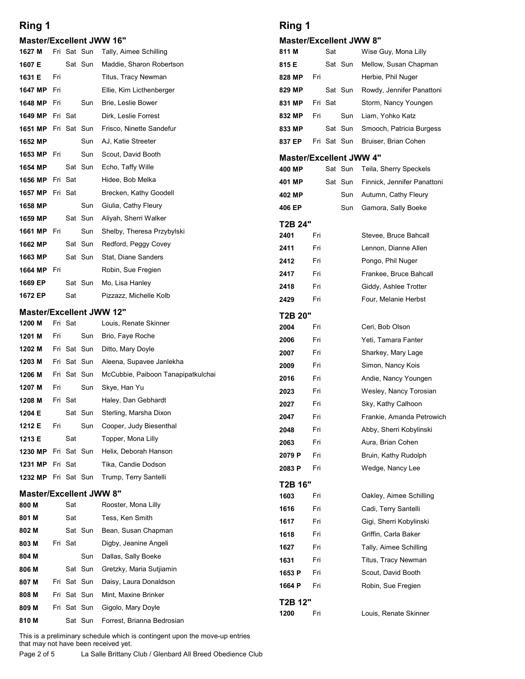### Master/Excellent JWW 16"

| Ring 1                                |     |         |             |                                                | Ring 1           |            |         |                        |                                                     |
|---------------------------------------|-----|---------|-------------|------------------------------------------------|------------------|------------|---------|------------------------|-----------------------------------------------------|
| <b>Master/Excellent JWW 16"</b>       |     |         |             |                                                |                  |            |         |                        | <b>Master/Excellent JWW 8"</b>                      |
| 1627 M                                |     |         | Fri Sat Sun | Tally, Aimee Schilling                         | 811 M            |            | Sat     |                        | Wise Guy, Mona                                      |
| 1607 E                                |     |         | Sat Sun     | Maddie, Sharon Robertson                       | 815 E            |            |         | Sat Sun                | Mellow, Susan Cl                                    |
| 1631 E                                | Fri |         |             | Titus, Tracy Newman                            | 828 MP           | Fri        |         |                        | Herbie, Phil Nuge                                   |
| 1647 MP                               | Fri |         |             | Ellie, Kim Licthenberger                       | 829 MP           |            |         | Sat Sun                | Rowdy, Jennifer F                                   |
| 1648 MP                               | Fri |         | Sun         | Brie, Leslie Bower                             | 831 MP           |            | Fri Sat |                        | Storm, Nancy Yo                                     |
| 1649 MP                               |     | Fri Sat |             | Dirk, Leslie Forrest                           | 832 MP           | Fri        |         | Sun                    | Liam, Yohko Katz                                    |
| <b>1651 MP</b> Fri Sat Sun<br>1652 MP |     |         | Sun         | Frisco, Ninette Sandefur<br>AJ, Katie Streeter | 833 MP<br>837 EP |            |         | Sat Sun<br>Fri Sat Sun | Smooch, Patricia<br>Bruiser, Brian Co               |
| 1653 MP                               | Fri |         | Sun         | Scout, David Booth                             |                  |            |         |                        |                                                     |
| 1654 MP                               |     |         | Sat Sun     | Echo, Taffy Wille                              | 400 MP           |            |         | Sat Sun                | <b>Master/Excellent JWW 4"</b><br>Teila, Sherry Spe |
| 1656 MP                               |     | Fri Sat |             | Hidee, Bob Melka                               | 401 MP           |            |         | Sat Sun                | Finnick, Jennifer                                   |
| 1657 MP                               |     | Fri Sat |             | Brecken, Kathy Goodell                         | 402 MP           |            |         | Sun                    | Autumn, Cathy Fl                                    |
| 1658 MP                               |     |         | Sun         | Giulia, Cathy Fleury                           | 406 EP           |            |         | Sun                    | Gamora, Sally Bo                                    |
| 1659 MP                               |     |         | Sat Sun     | Aliyah, Sherri Walker                          | T2B 24"          |            |         |                        |                                                     |
| 1661 MP Fri                           |     |         | Sun         | Shelby, Theresa Przybylski                     | 2401             | Fri        |         |                        | Stevee, Bruce Ba                                    |
| 1662 MP                               |     |         | Sat Sun     | Redford, Peggy Covey                           | 2411             | Fri        |         |                        | Lennon, Dianne A                                    |
| 1663 MP                               |     |         | Sat Sun     | Stat, Diane Sanders                            | 2412             | Fri        |         |                        | Pongo, Phil Nuge                                    |
| 1664 MP Fri                           |     |         |             | Robin, Sue Fregien                             | 2417             | Fri        |         |                        | Frankee, Bruce B                                    |
| 1669 EP                               |     |         | Sat Sun     | Mo, Lisa Hanley                                | 2418             | Fri        |         |                        | Giddy, Ashlee Tro                                   |
| 1672 EP                               |     | Sat     |             | Pizzazz, Michelle Kolb                         | 2429             | Fri        |         |                        | Four, Melanie He                                    |
|                                       |     |         |             | <b>Master/Excellent JWW 12"</b>                | <b>T2B 20"</b>   |            |         |                        |                                                     |
| 1200 M<br>1201 M                      | Fri | Fri Sat | Sun         | Louis, Renate Skinner<br>Brio, Faye Roche      | 2004             | Fri        |         |                        | Ceri, Bob Olson                                     |
| 1202 M                                |     |         | Fri Sat Sun | Ditto, Mary Doyle                              | 2006             | Fri        |         |                        | Yeti, Tamara Fan                                    |
| 1203 M                                |     |         | Fri Sat Sun | Aleena, Supavee Janlekha                       | 2007             | Fri        |         |                        | Sharkey, Mary La                                    |
| 1206 M                                |     |         | Fri Sat Sun | McCubbie, Paiboon Tanapipatkulchai             | 2009             | Fri        |         |                        | Simon, Nancy Ko                                     |
| 1207 M                                | Fri |         | Sun         | Skye, Han Yu                                   | 2016<br>2023     | Fri<br>Fri |         |                        | Andie, Nancy You<br>Wesley, Nancy T                 |
| 1208 M                                |     | Fri Sat |             | Haley, Dan Gebhardt                            | 2027             | Fri        |         |                        | Sky, Kathy Calho                                    |
| 1204 E                                |     |         | Sat Sun     | Sterling, Marsha Dixon                         | 2047             | Fri        |         |                        | Frankie, Amanda                                     |
| 1212 E                                | Fri |         | Sun         | Cooper, Judy Biesenthal                        | 2048             | Fri        |         |                        | Abby, Sherri Koby                                   |
| 1213 E                                |     | Sat     |             | Topper, Mona Lilly                             | 2063             | Fri        |         |                        | Aura, Brian Cohe                                    |
| 1230 MP Fri Sat Sun                   |     |         |             | Helix, Deborah Hanson                          | 2079 P           | Fri        |         |                        | Bruin, Kathy Rud                                    |
| <b>1231 MP</b> Fri Sat                |     |         |             | Tika, Candie Dodson                            | 2083 P           | Fri        |         |                        | Wedge, Nancy Le                                     |
| 1232 MP Fri Sat Sun                   |     |         |             | Trump, Terry Santelli                          | T2B 16"          |            |         |                        |                                                     |
|                                       |     |         |             | <b>Master/Excellent JWW 8"</b>                 | 1603             | Fri        |         |                        | Oakley, Aimee So                                    |
| 800 M                                 |     | Sat     |             | Rooster, Mona Lilly                            | 1616             | Fri        |         |                        | Cadi, Terry Sante                                   |
| 801 M                                 |     | Sat     |             | Tess, Ken Smith                                | 1617             | Fri        |         |                        | Gigi, Sherri Kobyl                                  |
| 802 M                                 |     |         | Sat Sun     | Bean, Susan Chapman                            | 1618             | Fri        |         |                        | Griffin, Carla Bak                                  |
| 803 M<br>804 M                        |     | Fri Sat | Sun         | Digby, Jeanine Angeli<br>Dallas, Sally Boeke   | 1627             | Fri        |         |                        | Tally, Aimee Schi                                   |
| 806 M                                 |     |         | Sat Sun     | Gretzky, Maria Sutjiamin                       | 1631             | Fri        |         |                        | Titus, Tracy Newr                                   |
| 807 M                                 |     |         | Fri Sat Sun | Daisy, Laura Donaldson                         | 1653 P           | Fri        |         |                        | Scout, David Boo                                    |
| 808 M                                 |     |         | Fri Sat Sun | Mint, Maxine Brinker                           | 1664 P           | Fri        |         |                        | Robin, Sue Fregio                                   |
| 809 M                                 |     |         | Fri Sat Sun | Gigolo, Mary Doyle                             | T2B 12"          |            |         |                        |                                                     |
|                                       |     |         | Sat Sun     | Forrest, Brianna Bedrosian                     | 1200             | Fri        |         |                        | Louis, Renate Sk                                    |

### Master/Excellent JWW 8"

| Ring 1                                  |            |         |             |                                           |
|-----------------------------------------|------------|---------|-------------|-------------------------------------------|
|                                         |            |         |             |                                           |
| <b>Master/Excellent JWW 8"</b><br>811 M |            | Sat     |             | Wise Guy, Mona Lilly                      |
| 815 E                                   |            |         | Sat Sun     | Mellow, Susan Chapman                     |
| 828 MP                                  | Fri        |         |             | Herbie, Phil Nuger                        |
| 829 MP                                  |            |         | Sat Sun     | Rowdy, Jennifer Panattoni                 |
| 831 MP                                  |            | Fri Sat |             | Storm, Nancy Youngen                      |
| 832 MP                                  | Fri        |         | Sun         | Liam, Yohko Katz                          |
| 833 MP                                  |            |         | Sat Sun     | Smooch, Patricia Burgess                  |
| 837 EP                                  |            |         | Fri Sat Sun | Bruiser, Brian Cohen                      |
| <b>Master/Excellent JWW 4"</b>          |            |         |             |                                           |
| 400 MP                                  |            |         | Sat Sun     | Teila, Sherry Speckels                    |
| 401 MP                                  |            |         | Sat Sun     | Finnick, Jennifer Panattoni               |
| 402 MP                                  |            |         | Sun         | Autumn, Cathy Fleury                      |
| 406 EP                                  |            |         | Sun         | Gamora, Sally Boeke                       |
| T2B 24"<br>2401                         | Fri        |         |             | Stevee, Bruce Bahcall                     |
| 2411                                    | Fri        |         |             | Lennon, Dianne Allen                      |
| 2412                                    | Fri        |         |             | Pongo, Phil Nuger                         |
| 2417                                    | Fri        |         |             | Frankee, Bruce Bahcall                    |
| 2418                                    | Fri        |         |             | Giddy, Ashlee Trotter                     |
| 2429                                    | Fri        |         |             | Four, Melanie Herbst                      |
| T2B 20"                                 |            |         |             |                                           |
| 2004                                    | Fri        |         |             | Ceri, Bob Olson                           |
| 2006                                    | Fri        |         |             | Yeti, Tamara Fanter                       |
| 2007                                    | Fri        |         |             | Sharkey, Mary Lage                        |
| 2009                                    | Fri        |         |             | Simon, Nancy Kois                         |
| 2016                                    | Fri        |         |             | Andie, Nancy Youngen                      |
| 2023                                    | Fri        |         |             | Wesley, Nancy Torosian                    |
| 2027                                    | Fri        |         |             | Sky, Kathy Calhoon                        |
| 2047                                    | Fri        |         |             | Frankie, Amanda Petrowich                 |
| 2048                                    | Fri        |         |             | Abby, Sherri Kobylinski                   |
| 2063<br>2079 P                          | Fri<br>Fri |         |             | Aura, Brian Cohen<br>Bruin, Kathy Rudolph |
| 2083 P                                  | Fri        |         |             | Wedge, Nancy Lee                          |
| T2B 16"                                 |            |         |             |                                           |
| 1603                                    | Fri        |         |             | Oakley, Aimee Schilling                   |
| 1616                                    | Fri        |         |             | Cadi, Terry Santelli                      |
| 1617                                    | Fri        |         |             | Gigi, Sherri Kobylinski                   |
| 1618                                    | Fri        |         |             | Griffin, Carla Baker                      |
| 1627                                    | Fri        |         |             | Tally, Aimee Schilling                    |
| 1631                                    | Fri        |         |             | Titus, Tracy Newman                       |
|                                         | Fri        |         |             | Scout, David Booth                        |
| 1653 P                                  |            |         |             |                                           |
| 1664 P                                  | Fri        |         |             | Robin, Sue Fregien                        |

1200 Fri Louis, Renate Skinner

 $\mathcal{L}_{1}$  . The figure  $\mathcal{L}_{2}$  is the figure of  $\mathcal{L}_{1}$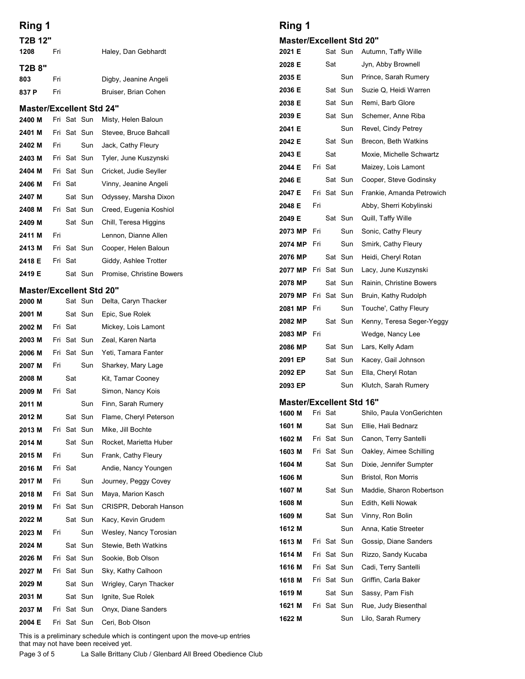| Ring 1                          |     |                |             |                                        | Ring 1            |     |         |                     |                                                     |
|---------------------------------|-----|----------------|-------------|----------------------------------------|-------------------|-----|---------|---------------------|-----------------------------------------------------|
| T2B 12"<br>1208                 | Fri |                |             | Haley, Dan Gebhardt                    | 2021 E            |     |         | Sat Sun             | <b>Master/Excellent Std 20"</b><br>Autumn, Taffy Wi |
| T2B 8"                          |     |                |             |                                        | 2028 E            |     | Sat     |                     | Jyn, Abby Brown                                     |
| 803                             | Fri |                |             | Digby, Jeanine Angeli                  | 2035 E            |     |         | Sun                 | Prince, Sarah Ru                                    |
| 837 P                           | Fri |                |             | Bruiser, Brian Cohen                   | 2036 E            |     |         | Sat Sun             | Suzie Q, Heidi W                                    |
| <b>Master/Excellent Std 24"</b> |     |                |             |                                        | 2038 E            |     |         | Sat Sun             | Remi, Barb Glore                                    |
| 2400 M                          |     |                | Fri Sat Sun | Misty, Helen Baloun                    | 2039 E            |     |         | Sat Sun             | Schemer, Anne F                                     |
| 2401 M                          |     |                | Fri Sat Sun | Stevee, Bruce Bahcall                  | 2041 E            |     |         | Sun                 | Revel, Cindy Petr                                   |
| 2402 M                          | Fri |                | Sun         | Jack, Cathy Fleury                     | 2042 E            |     |         | Sat Sun             | Brecon, Beth Wa                                     |
| 2403 M                          |     |                | Fri Sat Sun | Tyler, June Kuszynski                  | 2043 E            |     | Sat     |                     | Moxie, Michelle S                                   |
| 2404 M                          |     |                | Fri Sat Sun | Cricket, Judie Seyller                 | 2044 E            |     | Fri Sat |                     | Maizey, Lois Lam                                    |
| 2406 M                          |     | Fri Sat        |             | Vinny, Jeanine Angeli                  | 2046 E            |     |         | Sat Sun             | Cooper, Steve Go                                    |
| 2407 M                          |     |                | Sat Sun     | Odyssey, Marsha Dixon                  | 2047 E            |     |         | Fri Sat Sun         | Frankie, Amanda                                     |
| 2408 M                          |     |                | Fri Sat Sun | Creed, Eugenia Koshiol                 | 2048 E            | Fri |         |                     | Abby, Sherri Koby                                   |
| 2409 M                          |     |                | Sat Sun     | Chill, Teresa Higgins                  | 2049 E<br>2073 MP | Fri |         | Sat Sun<br>Sun      | Quill, Taffy Wille                                  |
| 2411 M                          | Fri |                |             | Lennon, Dianne Allen                   | 2074 MP           | Fri |         | Sun                 | Sonic, Cathy Fleu<br>Smirk, Cathy Fleu              |
| 2413 M                          |     |                | Fri Sat Sun | Cooper, Helen Baloun                   | 2076 MP           |     |         | Sat Sun             | Heidi, Cheryl Rota                                  |
| 2418 E                          |     | Fri Sat        |             | Giddy, Ashlee Trotter                  |                   |     |         | 2077 MP Fri Sat Sun | Lacy, June Kuszy                                    |
| 2419 E                          |     |                | Sat Sun     | Promise, Christine Bowers              | 2078 MP           |     |         | Sat Sun             | Rainin, Christine                                   |
| <b>Master/Excellent Std 20"</b> |     |                |             |                                        | 2079 MP           |     |         | Fri Sat Sun         | Bruin, Kathy Rud                                    |
| 2000 M                          |     |                | Sat Sun     | Delta, Caryn Thacker                   | 2081 MP Fri       |     |         | Sun                 | Touche', Cathy F.                                   |
| 2001 M                          |     |                | Sat Sun     | Epic, Sue Rolek                        | 2082 MP           |     |         | Sat Sun             | Kenny, Teresa Se                                    |
| 2002 M                          |     | Fri Sat        |             | Mickey, Lois Lamont                    | 2083 MP Fri       |     |         |                     | Wedge, Nancy Le                                     |
| 2003 M                          |     |                | Fri Sat Sun | Zeal, Karen Narta                      | 2086 MP           |     |         | Sat Sun             | Lars, Kelly Adam                                    |
| 2006 M                          |     |                | Fri Sat Sun | Yeti, Tamara Fanter                    | 2091 EP           |     |         | Sat Sun             | Kacey, Gail John                                    |
| 2007 M                          | Fri |                | Sun         | Sharkey, Mary Lage                     | 2092 EP           |     |         | Sat Sun             | Ella, Cheryl Rotar                                  |
| 2008 M<br>2009 M                |     | Sat<br>Fri Sat |             | Kit, Tamar Cooney<br>Simon, Nancy Kois | 2093 EP           |     |         | Sun                 | Klutch, Sarah Ru                                    |
| 2011 M                          |     |                | Sun         | Finn, Sarah Rumery                     |                   |     |         |                     | <b>Master/Excellent Std 16"</b>                     |
| 2012 M                          |     |                | Sat Sun     | Flame, Cheryl Peterson                 | 1600 M            |     | Fri Sat |                     | Shilo, Paula Von                                    |
| 2013 M                          |     |                | Fri Sat Sun | Mike, Jill Bochte                      | 1601 M            |     |         | Sat Sun             | Ellie, Hali Bednar                                  |
| 2014 M                          |     |                | Sat Sun     | Rocket, Marietta Huber                 | 1602 M            |     |         | Fri Sat Sun         | Canon, Terry Sar                                    |
| 2015 M                          | Fri |                | Sun         | Frank, Cathy Fleury                    | 1603 M            |     |         | Fri Sat Sun         | Oakley, Aimee So                                    |
| 2016 M                          |     | Fri Sat        |             | Andie, Nancy Youngen                   | 1604 M            |     |         | Sat Sun             | Dixie, Jennifer Su                                  |
| 2017 M                          | Fri |                | Sun         | Journey, Peggy Covey                   | 1606 M            |     |         | Sun                 | Bristol, Ron Morri                                  |
| 2018 M                          |     |                | Fri Sat Sun | Maya, Marion Kasch                     | 1607 M            |     |         | Sat Sun             | Maddie, Sharon F                                    |
| 2019 M                          |     |                | Fri Sat Sun | CRISPR, Deborah Hanson                 | 1608 M            |     |         | Sun                 | Edith, Kelli Nowal                                  |
| 2022 M                          |     |                | Sat Sun     | Kacy, Kevin Grudem                     | 1609 M            |     |         | Sat Sun             | Vinny, Ron Bolin                                    |
| 2023 M                          | Fri |                | Sun         | Wesley, Nancy Torosian                 | 1612 M            |     |         | Sun                 | Anna, Katie Stree                                   |
| 2024 M                          |     |                | Sat Sun     | Stewie, Beth Watkins                   | 1613 M            |     |         | Fri Sat Sun         | Gossip, Diane Sa                                    |
| 2026 M                          |     |                | Fri Sat Sun | Sookie, Bob Olson                      | 1614 M            |     |         | Fri Sat Sun         | Rizzo, Sandy Kuo                                    |
| 2027 M                          |     |                | Fri Sat Sun | Sky, Kathy Calhoon                     | 1616 M            |     |         | Fri Sat Sun         | Cadi, Terry Sante                                   |
| 2029 M                          |     |                | Sat Sun     | Wrigley, Caryn Thacker                 | 1618 M            |     |         | Fri Sat Sun         | Griffin, Carla Bak                                  |
| 2031 M                          |     |                | Sat Sun     | Ignite, Sue Rolek                      | 1619 M            |     |         | Sat Sun             | Sassy, Pam Fish                                     |
| 2037 M                          |     |                | Fri Sat Sun | Onyx, Diane Sanders                    | 1621 M            |     |         | Fri Sat Sun         | Rue, Judy Bieser                                    |
|                                 |     |                | Fri Sat Sun | Ceri, Bob Olson                        | 1622 M            |     |         | Sun                 | Lilo, Sarah Rume                                    |

### Master/Excellent Std 20"

| <b>Ring 1</b>                   |     |         |                            |                                                  |
|---------------------------------|-----|---------|----------------------------|--------------------------------------------------|
| <b>Master/Excellent Std 20"</b> |     |         |                            |                                                  |
| 2021 E                          |     |         | Sat Sun                    | Autumn, Taffy Wille                              |
| 2028 E                          |     | Sat     |                            | Jyn, Abby Brownell                               |
| 2035 E                          |     |         | Sun                        | Prince, Sarah Rumery                             |
| 2036 E                          |     |         | Sat Sun                    | Suzie Q, Heidi Warren                            |
| 2038 E                          |     |         | Sat Sun                    | Remi, Barb Glore                                 |
| 2039 E                          |     |         | Sat Sun                    | Schemer, Anne Riba                               |
| 2041 E                          |     |         | Sun                        | Revel, Cindy Petrey                              |
| 2042 E<br>2043 E                |     | Sat     | Sat Sun                    | Brecon, Beth Watkins<br>Moxie, Michelle Schwartz |
| 2044 E                          |     | Fri Sat |                            | Maizey, Lois Lamont                              |
| 2046 E                          |     |         | Sat Sun                    | Cooper, Steve Godinsky                           |
| 2047 E                          |     |         | Fri Sat Sun                | Frankie, Amanda Petrowich                        |
| 2048 E                          | Fri |         |                            | Abby, Sherri Kobylinski                          |
| 2049 E                          |     |         | Sat Sun                    | Quill, Taffy Wille                               |
| 2073 MP                         | Fri |         | Sun                        | Sonic, Cathy Fleury                              |
| 2074 MP Fri                     |     |         | Sun                        | Smirk, Cathy Fleury                              |
| 2076 MP                         |     |         | Sat Sun                    | Heidi, Cheryl Rotan                              |
| 2077 MP                         |     |         | Fri Sat Sun<br>Sat Sun     | Lacy, June Kuszynski<br>Rainin, Christine Bowers |
| 2078 MP<br>2079 MP              |     |         | Fri Sat Sun                | Bruin, Kathy Rudolph                             |
| 2081 MP                         | Fri |         | Sun                        | Touche', Cathy Fleury                            |
| 2082 MP                         |     |         | Sat Sun                    | Kenny, Teresa Seger-Yeggy                        |
| 2083 MP                         | Fri |         |                            | Wedge, Nancy Lee                                 |
| 2086 MP                         |     |         | Sat Sun                    | Lars, Kelly Adam                                 |
| 2091 EP                         |     |         | Sat Sun                    | Kacey, Gail Johnson                              |
| 2092 EP                         |     |         | Sat Sun                    | Ella, Cheryl Rotan                               |
| 2093 EP                         |     |         | Sun                        | Klutch, Sarah Rumery                             |
| <b>Master/Excellent Std 16"</b> |     |         |                            |                                                  |
| 1600 M                          |     | Fri Sat |                            | Shilo, Paula VonGerichten                        |
| 1601 M                          |     |         | Sat Sun                    | Ellie, Hali Bednarz                              |
| 1602 M<br>1603 M                |     |         | Fri Sat Sun<br>Fri Sat Sun | Canon, Terry Santelli<br>Oakley, Aimee Schilling |
| 1604 M                          |     |         | Sat Sun                    | Dixie, Jennifer Sumpter                          |
| 1606 M                          |     |         | Sun                        | Bristol, Ron Morris                              |
| 1607 M                          |     |         | Sat Sun                    | Maddie, Sharon Robertson                         |
| 1608 M                          |     |         | Sun                        | Edith, Kelli Nowak                               |
| 1609 M                          |     |         | Sat Sun                    | Vinny, Ron Bolin                                 |
| 1612 M                          |     |         | Sun                        | Anna, Katie Streeter                             |
| 1613 M                          |     |         | Fri Sat Sun                | Gossip, Diane Sanders                            |
| 1614 M                          |     |         | Fri Sat Sun                | Rizzo, Sandy Kucaba                              |
| 1616 M                          |     |         | Fri Sat Sun                | Cadi, Terry Santelli                             |
| 1618 M                          |     |         | Fri Sat Sun                | Griffin, Carla Baker                             |
| 1619 M                          |     |         | Sat Sun                    | Sassy, Pam Fish                                  |
| 1621 M                          |     |         | Fri Sat Sun<br>Sun         | Rue, Judy Biesenthal<br>Lilo, Sarah Rumery       |
| 1622 M                          |     |         |                            |                                                  |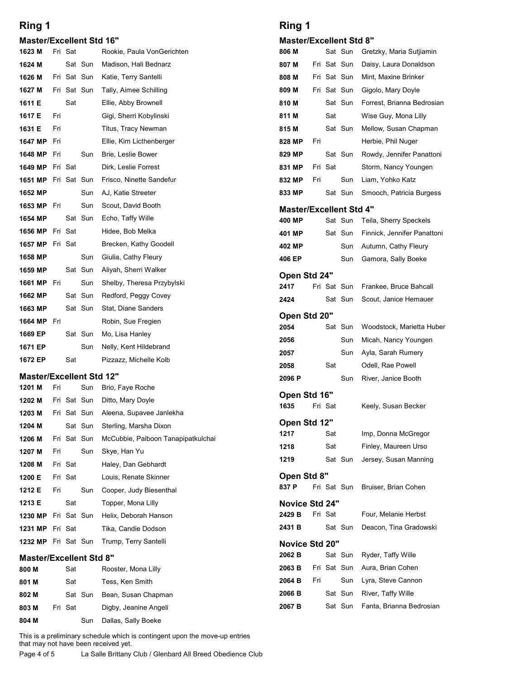### Master/Excellent Std 16"

| Ring 1                          |     |             |             |                                             | Ring 1                              |
|---------------------------------|-----|-------------|-------------|---------------------------------------------|-------------------------------------|
| <b>Master/Excellent Std 16"</b> |     |             |             |                                             | <b>Master/Excellent Std</b>         |
| 1623 M                          |     | Fri Sat     |             | Rookie, Paula VonGerichten                  | 806 M<br>Sat Sun                    |
| 1624 M                          |     |             | Sat Sun     | Madison, Hali Bednarz                       | Fri Sat Sun<br>807 M                |
| 1626 M                          |     | Fri Sat Sun |             | Katie, Terry Santelli                       | 808 M<br>Fri Sat Sun                |
| 1627 M                          |     | Fri Sat Sun |             | Tally, Aimee Schilling                      | 809 M<br>Fri Sat Sun                |
| 1611 E                          |     | Sat         |             | Ellie, Abby Brownell                        | 810 M<br>Sat Sun                    |
| 1617 E                          | Fri |             |             | Gigi, Sherri Kobylinski                     | 811 M<br>Sat                        |
| 1631 E                          | Fri |             |             | Titus, Tracy Newman                         | 815 M<br>Sat Sun                    |
| 1647 MP                         | Fri |             |             | Ellie, Kim Licthenberger                    | 828 MP<br>Fri                       |
| 1648 MP                         | Fri |             | Sun         | Brie, Leslie Bower                          | Sat Sun<br>829 MP                   |
| 1649 MP                         |     | Fri Sat     |             | Dirk, Leslie Forrest                        | Fri Sat<br>831 MP                   |
| 1651 MP                         |     | Fri Sat Sun |             | Frisco, Ninette Sandefur                    | Sun<br>832 MP<br>Fri                |
| 1652 MP                         |     |             | Sun         | AJ, Katie Streeter                          | Sat Sun<br>833 MP                   |
| 1653 MP                         | Fri |             | Sun         | Scout, David Booth                          | Master/Excellent Std                |
| 1654 MP                         |     |             | Sat Sun     | Echo, Taffy Wille                           | Sat Sun<br>400 MP                   |
| 1656 MP                         |     | Fri Sat     |             | Hidee, Bob Melka                            | Sat Sun<br>401 MP                   |
| 1657 MP                         |     | Fri Sat     |             | Brecken, Kathy Goodell                      | Sun<br>402 MP                       |
| 1658 MP                         |     |             | Sun         | Giulia, Cathy Fleury                        | Sun<br>406 EP                       |
| 1659 MP                         |     |             | Sat Sun     | Aliyah, Sherri Walker                       | Open Std 24"                        |
| 1661 MP Fri                     |     |             | Sun         | Shelby, Theresa Przybylski                  | Fri Sat Sun<br>2417                 |
| 1662 MP                         |     |             | Sat Sun     | Redford, Peggy Covey                        | Sat Sun<br>2424                     |
| 1663 MP                         |     |             | Sat Sun     | Stat, Diane Sanders                         | Open Std 20"                        |
| 1664 MP Fri                     |     |             |             | Robin, Sue Fregien                          | 2054<br>Sat Sun                     |
| 1669 EP                         |     |             | Sat Sun     | Mo, Lisa Hanley                             | 2056<br>Sun                         |
| 1671 EP                         |     |             | Sun         | Nelly, Kent Hildebrand                      | Sun<br>2057                         |
| 1672 EP                         |     | Sat         |             | Pizzazz, Michelle Kolb                      | Sat<br>2058                         |
| <b>Master/Excellent Std 12"</b> |     |             |             |                                             | Sun<br>2096 P                       |
| 1201 M                          | Fri |             | Sun         | Brio, Faye Roche                            | Open Std 16"                        |
| 1202 M                          |     |             | Fri Sat Sun | Ditto, Mary Doyle                           | 1635<br>Fri Sat                     |
| 1203 M                          |     |             | Fri Sat Sun | Aleena, Supavee Janlekha                    | Open Std 12"                        |
| 1204 M                          |     |             | Sat Sun     | Sterling, Marsha Dixon                      | 1217<br>Sat                         |
| 1206 M                          |     |             | Fri Sat Sun | McCubbie, Paiboon Tanapipatkulchai          | Sat<br>1218                         |
| 1207 M                          | Fri |             | Sun         | Skye, Han Yu                                | Sat Sun<br>1219                     |
| 1208 M                          |     | Fri Sat     |             | Haley, Dan Gebhardt                         | Open Std 8"                         |
| 1200 E                          |     | Fri Sat     |             | Louis, Renate Skinner                       | 837 P<br>Fri Sat Sun                |
| 1212 E                          | Fri | Sat         | Sun         | Cooper, Judy Biesenthal                     |                                     |
| 1213 E<br>1230 MP               |     |             | Fri Sat Sun | Topper, Mona Lilly<br>Helix, Deborah Hanson | Novice Std 24"<br>2429 B<br>Fri Sat |
| 1231 MP                         |     | Fri Sat     |             | Tika, Candie Dodson                         | 2431 B<br>Sat Sun                   |
|                                 |     |             |             |                                             |                                     |
| 1232 MP Fri Sat Sun             |     |             |             | Trump, Terry Santelli                       | Novice Std 20"                      |

| 1662 MP                                             |     | Sat Sun     |         | Redford, Peggy Covey                                                                                                                      | 2424                  |     | Sat Sun     |         |  |
|-----------------------------------------------------|-----|-------------|---------|-------------------------------------------------------------------------------------------------------------------------------------------|-----------------------|-----|-------------|---------|--|
| 1663 MP                                             |     | Sat Sun     |         | Stat, Diane Sanders                                                                                                                       |                       |     |             |         |  |
| 1664 MP                                             | Fri |             |         | Robin, Sue Fregien                                                                                                                        | Open Std 20"<br>2054  |     |             | Sat Sun |  |
| 1669 EP                                             |     |             | Sat Sun | Mo, Lisa Hanley                                                                                                                           | 2056                  |     |             | Sun     |  |
| 1671 EP                                             |     |             | Sun     | Nelly, Kent Hildebrand                                                                                                                    |                       |     |             |         |  |
| 1672 EP                                             |     | Sat         |         | Pizzazz, Michelle Kolb                                                                                                                    | 2057<br>2058          |     | Sat         | Sun     |  |
| <b>Master/Excellent Std 12"</b>                     |     |             |         |                                                                                                                                           | 2096 P                |     |             | Sun     |  |
| 1201 M                                              | Fri |             | Sun     | Brio, Faye Roche                                                                                                                          |                       |     |             |         |  |
| 1202 M                                              |     | Fri Sat Sun |         | Ditto, Mary Doyle                                                                                                                         | Open Std 16"<br>1635  |     | Fri Sat     |         |  |
| 1203 M                                              |     | Fri Sat Sun |         | Aleena, Supavee Janlekha                                                                                                                  |                       |     |             |         |  |
| 1204 M                                              |     | Sat Sun     |         | Sterling, Marsha Dixon                                                                                                                    | Open Std 12"          |     |             |         |  |
| 1206 M                                              |     | Fri Sat Sun |         | McCubbie, Paiboon Tanapipatkulchai                                                                                                        | 1217                  |     | Sat         |         |  |
| 1207 M                                              | Fri |             | Sun     | Skye, Han Yu                                                                                                                              | 1218                  |     | Sat         |         |  |
| 1208 M                                              |     | Fri Sat     |         | Haley, Dan Gebhardt                                                                                                                       | 1219                  |     | Sat Sun     |         |  |
| 1200 E                                              |     | Fri Sat     |         | Louis, Renate Skinner                                                                                                                     | Open Std 8"           |     |             |         |  |
| 1212 E                                              | Fri |             | Sun     | Cooper, Judy Biesenthal                                                                                                                   | 837 P                 |     | Fri Sat Sun |         |  |
| 1213 E                                              |     | Sat         |         | Topper, Mona Lilly                                                                                                                        | Novice Std 24"        |     |             |         |  |
| 1230 MP                                             |     | Fri Sat Sun |         | Helix, Deborah Hanson                                                                                                                     | 2429 B                |     | Fri Sat     |         |  |
| 1231 MP                                             |     | Fri Sat     |         | Tika, Candie Dodson                                                                                                                       | 2431 B                |     | Sat Sun     |         |  |
| 1232 MP Fri Sat Sun                                 |     |             |         | Trump, Terry Santelli                                                                                                                     | <b>Novice Std 20"</b> |     |             |         |  |
| <b>Master/Excellent Std 8"</b>                      |     |             |         |                                                                                                                                           | 2062 <sub>B</sub>     |     | Sat Sun     |         |  |
| 800 M                                               |     | Sat         |         | Rooster, Mona Lilly                                                                                                                       | 2063 B                |     | Fri Sat Sun |         |  |
| 801 M                                               |     | Sat         |         | Tess, Ken Smith                                                                                                                           | 2064 B                | Fri |             | Sun     |  |
| 802 M                                               |     |             | Sat Sun | Bean, Susan Chapman                                                                                                                       | 2066 B                |     | Sat Sun     |         |  |
| 803 M                                               |     | Fri Sat     |         | Digby, Jeanine Angeli                                                                                                                     | 2067 B                |     | Sat Sun     |         |  |
| 804 M                                               |     |             | Sun     | Dallas, Sally Boeke                                                                                                                       |                       |     |             |         |  |
| that may not have been received yet.<br>Page 4 of 5 |     |             |         | This is a preliminary schedule which is contingent upon the move-up entries<br>La Salle Brittany Club / Glenbard All Breed Obedience Club |                       |     |             |         |  |

### Master/Excellent Std 8"

| 800 M | Sat     | Rooster, Mona Lilly   | 2063 B            | Fri |
|-------|---------|-----------------------|-------------------|-----|
| 801 M | Sat     | Tess, Ken Smith       | 2064 B            | Fri |
| 802 M | Sat Sun | Bean, Susan Chapman   | 2066 B            |     |
| 803 M | Fri Sat | Digby, Jeanine Angeli | 2067 <sub>B</sub> |     |
| 804 M | Sun     | Dallas, Sally Boeke   |                   |     |
|       |         |                       |                   |     |

## Ring 1

#### Master/Excellent Std 8"

| Ring 1                          |     |            |             |                                                | Ring 1                         |     |             |                        |                                                 |
|---------------------------------|-----|------------|-------------|------------------------------------------------|--------------------------------|-----|-------------|------------------------|-------------------------------------------------|
| <b>Master/Excellent Std 16"</b> |     |            |             |                                                | <b>Master/Excellent Std 8"</b> |     |             |                        |                                                 |
| 1623 M                          |     | Fri Sat    |             | Rookie, Paula VonGerichten                     | 806 M                          |     |             | Sat Sun                | Gretzky, Maria Sutjiamin                        |
| 1624 M                          |     |            | Sat Sun     | Madison, Hali Bednarz                          | 807 M                          |     | Fri Sat Sun |                        | Daisy, Laura Donaldson                          |
| 1626 M                          |     |            | Fri Sat Sun | Katie, Terry Santelli                          | 808 M                          |     |             | Fri Sat Sun            | Mint, Maxine Brinker                            |
| 1627 M                          |     |            | Fri Sat Sun | Tally, Aimee Schilling                         | 809 M                          |     | Fri Sat Sun |                        | Gigolo, Mary Doyle                              |
| 1611 E                          |     | Sat        |             | Ellie, Abby Brownell                           | 810 M                          |     |             | Sat Sun                | Forrest, Brianna Bedrosian                      |
| 1617 E                          | Fri |            |             | Gigi, Sherri Kobylinski                        | 811 M                          |     | Sat         |                        | Wise Guy, Mona Lilly                            |
| 1631 E<br>1647 MP Fri           | Fri |            |             | Titus, Tracy Newman                            | 815 M                          |     |             | Sat Sun                | Mellow, Susan Chapman                           |
| 1648 MP Fri                     |     |            | Sun         | Ellie, Kim Licthenberger<br>Brie, Leslie Bower | 828 MP<br>829 MP               | Fri |             | Sat Sun                | Herbie, Phil Nuger<br>Rowdy, Jennifer Panattoni |
| 1649 MP Fri Sat                 |     |            |             | Dirk, Leslie Forrest                           | 831 MP                         |     | Fri Sat     |                        | Storm, Nancy Youngen                            |
| 1651 MP Fri Sat Sun             |     |            |             | Frisco, Ninette Sandefur                       | 832 MP                         | Fri |             | Sun                    | Liam, Yohko Katz                                |
| 1652 MP                         |     |            | Sun         | AJ, Katie Streeter                             | 833 MP                         |     |             | Sat Sun                | Smooch, Patricia Burgess                        |
| <b>1653 MP</b> Fri              |     |            | Sun         | Scout, David Booth                             | <b>Master/Excellent Std 4"</b> |     |             |                        |                                                 |
| 1654 MP                         |     |            | Sat Sun     | Echo, Taffy Wille                              | 400 MP                         |     |             |                        | Sat Sun Teila, Sherry Speckels                  |
| 1656 MP Fri Sat                 |     |            |             | Hidee, Bob Melka                               | 401 MP                         |     |             | Sat Sun                | Finnick, Jennifer Panattoni                     |
| 1657 MP Fri Sat                 |     |            |             | Brecken, Kathy Goodell                         | 402 MP                         |     |             | Sun                    | Autumn, Cathy Fleury                            |
| 1658 MP                         |     |            | Sun         | Giulia, Cathy Fleury                           | 406 EP                         |     |             | Sun                    | Gamora, Sally Boeke                             |
| 1659 MP                         |     |            | Sat Sun     | Aliyah, Sherri Walker                          | Open Std 24"                   |     |             |                        |                                                 |
| 1661 MP Fri                     |     |            | Sun         | Shelby, Theresa Przybylski                     | 2417                           |     |             | Fri Sat Sun            | Frankee, Bruce Bahcall                          |
| 1662 MP                         |     |            | Sat Sun     | Redford, Peggy Covey                           | 2424                           |     |             |                        | Sat Sun Scout, Janice Hemauer                   |
| 1663 MP<br>1664 MP Fri          |     |            | Sat Sun     | Stat, Diane Sanders<br>Robin, Sue Fregien      | Open Std 20"                   |     |             |                        |                                                 |
| 1669 EP                         |     |            | Sat Sun     | Mo, Lisa Hanley                                | 2054                           |     |             | Sat Sun                | Woodstock, Marietta Huber                       |
| 1671 EP                         |     |            | Sun         | Nelly, Kent Hildebrand                         | 2056                           |     |             | Sun                    | Micah, Nancy Youngen                            |
| 1672 EP                         |     | Sat        |             | Pizzazz, Michelle Kolb                         | 2057                           |     |             | Sun                    | Ayla, Sarah Rumery                              |
| <b>Master/Excellent Std 12"</b> |     |            |             |                                                | 2058                           |     | Sat         |                        | Odell, Rae Powell                               |
| 1201 M                          | Fri |            | Sun         | Brio, Faye Roche                               | 2096 P                         |     |             | Sun                    | River, Janice Booth                             |
| 1202 M                          |     |            | Fri Sat Sun | Ditto, Mary Doyle                              | Open Std 16"                   |     |             |                        |                                                 |
| 1203 M                          |     |            |             | Fri Sat Sun Aleena, Supavee Janlekha           | 1635                           |     | Fri Sat     |                        | Keely, Susan Becker                             |
| 1204 M                          |     |            | Sat Sun     | Sterling, Marsha Dixon                         | Open Std 12"                   |     |             |                        |                                                 |
| 1206 M                          |     |            | Fri Sat Sun | McCubbie, Paiboon Tanapipatkulchai             | 1217                           |     | Sat         |                        | Imp, Donna McGregor                             |
| 1207 M                          | Fri |            | Sun         | Skye, Han Yu                                   | 1218<br>1219                   |     | Sat         | Sat Sun                | Finley, Maureen Urso<br>Jersey, Susan Manning   |
| 1208 M                          |     | Fri Sat    |             | Haley, Dan Gebhardt                            |                                |     |             |                        |                                                 |
| 1200 E                          |     | Fri Sat    |             | Louis, Renate Skinner                          | Open Std 8"                    |     |             |                        |                                                 |
| 1212 E                          | Fri |            | Sun         | Cooper, Judy Biesenthal                        | 837 P                          |     |             | Fri Sat Sun            | Bruiser, Brian Cohen                            |
| 1213 E                          |     | Sat        |             | Topper, Mona Lilly                             | Novice Std 24"                 |     |             |                        |                                                 |
| 1230 MP Fri Sat Sun             |     |            |             | Helix, Deborah Hanson                          | 2429 B                         |     | Fri Sat     |                        | Four, Melanie Herbst<br>Deacon, Tina Gradowski  |
| <b>1231 MP</b> Fri Sat          |     |            |             | Tika, Candie Dodson                            | 2431 B                         |     |             | Sat Sun                |                                                 |
|                                 |     |            |             | 1232 MP Fri Sat Sun Trump, Terry Santelli      | Novice Std 20"<br>2062 B       |     |             |                        |                                                 |
| <b>Master/Excellent Std 8"</b>  |     |            |             |                                                | 2063 B                         |     |             | Sat Sun<br>Fri Sat Sun | Ryder, Taffy Wille<br>Aura, Brian Cohen         |
| 800 M<br>801 M                  |     | Sat<br>Sat |             | Rooster, Mona Lilly<br>Tess, Ken Smith         | 2064 B                         | Fri |             | Sun                    | Lyra, Steve Cannon                              |
| 802 M                           |     |            | Sat Sun     | Bean, Susan Chapman                            | 2066 B                         |     |             | Sat Sun                | River, Taffy Wille                              |
| 803 M                           |     | Fri Sat    |             | Digby, Jeanine Angeli                          | 2067 B                         |     |             |                        | Sat Sun Fanta, Brianna Bedrosian                |
| 804 M                           |     |            |             | Sun Dallas, Sally Boeke                        |                                |     |             |                        |                                                 |
|                                 |     |            |             |                                                |                                |     |             |                        |                                                 |